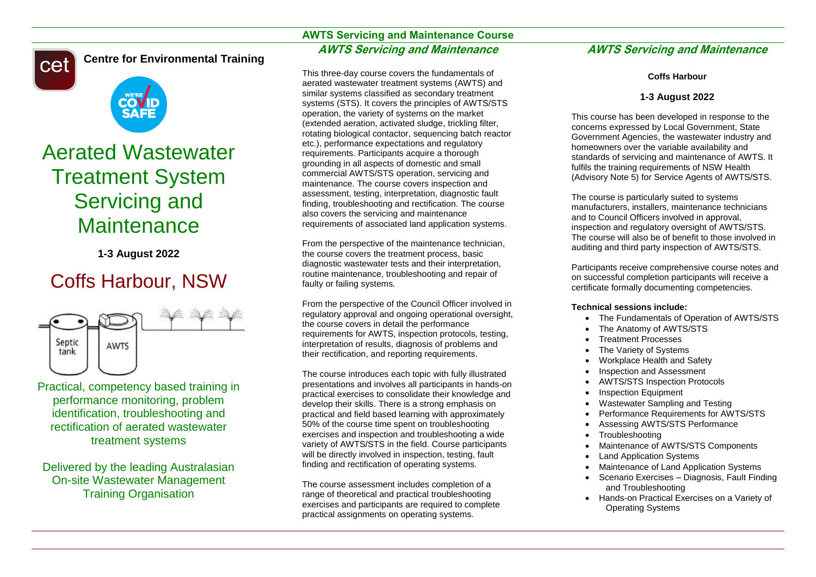cet

**Centre for Environmental Training**

# SAF

# Aerated Wastewater Treatment System Servicing and **Maintenance**

**1-3 August 2022**

# Coffs Harbour, NSW



Practical, competency based training in performance monitoring, problem identification, troubleshooting and rectification of aerated wastewater treatment systems

Delivered by the leading Australasian On-site Wastewater Management Training Organisation

# **AWTS Servicing and Maintenance Course AWTS Servicing and Maintenance**

This three-day course covers the fundamentals of aerated wastewater treatment systems (AWTS) and similar systems classified as secondary treatment systems (STS). It covers the principles of AWTS/STS operation, the variety of systems on the market (extended aeration, activated sludge, trickling filter, rotating biological contactor, sequencing batch reactor etc.), performance expectations and regulatory requirements. Participants acquire a thorough grounding in all aspects of domestic and small commercial AWTS/STS operation, servicing and maintenance. The course covers inspection and assessment, testing, interpretation, diagnostic fault finding, troubleshooting and rectification. The course also covers the servicing and maintenance requirements of associated land application systems.

From the perspective of the maintenance technician, the course covers the treatment process, basic diagnostic wastewater tests and their interpretation, routine maintenance, troubleshooting and repair of faulty or failing systems.

From the perspective of the Council Officer involved in regulatory approval and ongoing operational oversight, the course covers in detail the performance requirements for AWTS, inspection protocols, testing, interpretation of results, diagnosis of problems and their rectification, and reporting requirements.

The course introduces each topic with fully illustrated presentations and involves all participants in hands-on practical exercises to consolidate their knowledge and develop their skills. There is a strong emphasis on practical and field based learning with approximately 50% of the course time spent on troubleshooting exercises and inspection and troubleshooting a wide variety of AWTS/STS in the field. Course participants will be directly involved in inspection, testing, fault finding and rectification of operating systems.

The course assessment includes completion of a range of theoretical and practical troubleshooting exercises and participants are required to complete practical assignments on operating systems.

# **AWTS Servicing and Maintenance**

# **Coffs Harbour**

# **1-3 August 2022**

This course has been developed in response to the concerns expressed by Local Government, State Government Agencies, the wastewater industry and homeowners over the variable availability and standards of servicing and maintenance of AWTS. It fulfils the training requirements of NSW Health (Advisory Note 5) for Service Agents of AWTS/STS.

The course is particularly suited to systems manufacturers, installers, maintenance technicians and to Council Officers involved in approval, inspection and regulatory oversight of AWTS/STS. The course will also be of benefit to those involved in auditing and third party inspection of AWTS/STS.

Participants receive comprehensive course notes and on successful completion participants will receive a certificate formally documenting competencies.

## **Technical sessions include:**

- The Fundamentals of Operation of AWTS/STS
- The Anatomy of AWTS/STS
- Treatment Processes
- The Variety of Systems
- Workplace Health and Safety
- Inspection and Assessment
- AWTS/STS Inspection Protocols
- Inspection Equipment
- Wastewater Sampling and Testing
- Performance Requirements for AWTS/STS
- Assessing AWTS/STS Performance
- **Troubleshooting**
- Maintenance of AWTS/STS Components
- Land Application Systems
- Maintenance of Land Application Systems
- Scenario Exercises Diagnosis, Fault Finding and Troubleshooting
- Hands-on Practical Exercises on a Variety of Operating Systems